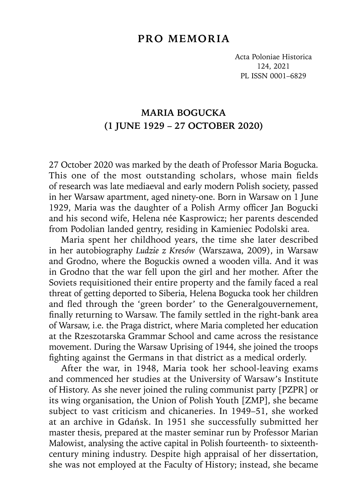## **PRO MEMORIA**

Acta Poloniae Historica 124, 2021 PL ISSN 0001–6829

## **MARIA BOGUCKA (1 JUNE 1929 – 27 OCTOBER 2020)**

27 October 2020 was marked by the death of Professor Maria Bogucka. This one of the most outstanding scholars, whose main fields of research was late mediaeval and early modern Polish society, passed in her Warsaw apartment, aged ninety-one. Born in Warsaw on 1 June 1929, Maria was the daughter of a Polish Army officer Jan Bogucki and his second wife, Helena née Kasprowicz; her parents descended from Podolian landed gentry, residing in Kamieniec Podolski area.

Maria spent her childhood years, the time she later described in her autobiography *Ludzie z Kresów* (Warszawa, 2009), in Warsaw and Grodno, where the Boguckis owned a wooden villa. And it was in Grodno that the war fell upon the girl and her mother. After the Soviets requisitioned their entire property and the family faced a real threat of getting deported to Siberia, Helena Bogucka took her children and fled through the 'green border' to the Generalgouvernement, finally returning to Warsaw. The family settled in the right-bank area of Warsaw, i.e. the Praga district, where Maria completed her education at the Rzeszotarska Grammar School and came across the resistance movement. During the Warsaw Uprising of 1944, she joined the troops fighting against the Germans in that district as a medical orderly.

After the war, in 1948, Maria took her school-leaving exams and commenced her studies at the University of Warsaw's Institute of History. As she never joined the ruling communist party [PZPR] or its wing organisation, the Union of Polish Youth [ZMP], she became subject to vast criticism and chicaneries. In 1949–51, she worked at an archive in Gdańsk. In 1951 she successfully submitted her master thesis, prepared at the master seminar run by Professor Marian Małowist, analysing the active capital in Polish fourteenth- to sixteenthcentury mining industry. Despite high appraisal of her dissertation, she was not employed at the Faculty of History; instead, she became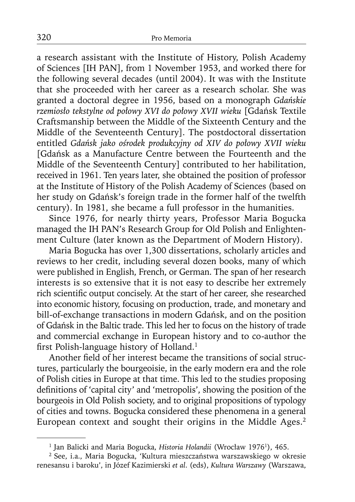a research assistant with the Institute of History, Polish Academy of Sciences [IH PAN], from 1 November 1953, and worked there for the following several decades (until 2004). It was with the Institute that she proceeded with her career as a research scholar. She was granted a doctoral degree in 1956, based on a monograph *Gdańskie rzemiosło tekstylne od połowy XVI do połowy XVII wieku* [Gdańsk Textile Craftsmanship between the Middle of the Sixteenth Century and the Middle of the Seventeenth Century]. The postdoctoral dissertation entitled *Gdańsk jako ośrodek produkcyjny od XIV do połowy XVII wieku* [Gdańsk as a Manufacture Centre between the Fourteenth and the Middle of the Seventeenth Century] contributed to her habilitation, received in 1961. Ten years later, she obtained the position of professor at the Institute of History of the Polish Academy of Sciences (based on her study on Gdańsk's foreign trade in the former half of the twelfth century). In 1981, she became a full professor in the humanities.

Since 1976, for nearly thirty years, Professor Maria Bogucka managed the IH PAN's Research Group for Old Polish and Enlightenment Culture (later known as the Department of Modern History).

Maria Bogucka has over 1,300 dissertations, scholarly articles and reviews to her credit, including several dozen books, many of which were published in English, French, or German. The span of her research interests is so extensive that it is not easy to describe her extremely rich scientific output concisely. At the start of her career, she researched into economic history, focusing on production, trade, and monetary and bill-of-exchange transactions in modern Gdańsk, and on the position of Gdańsk in the Baltic trade. This led her to focus on the history of trade and commercial exchange in European history and to co-author the first Polish-language history of Holland.<sup>1</sup>

Another field of her interest became the transitions of social structures, particularly the bourgeoisie, in the early modern era and the role of Polish cities in Europe at that time. This led to the studies proposing definitions of 'capital city' and 'metropolis', showing the position of the bourgeois in Old Polish society, and to original propositions of typology of cities and towns. Bogucka considered these phenomena in a general European context and sought their origins in the Middle Ages.2

<sup>&</sup>lt;sup>1</sup> Jan Balicki and Maria Bogucka, *Historia Holandii* (Wrocław 1976<sup>1</sup>), 465.

<sup>2</sup> See, i.a., Maria Bogucka, 'Kultura mieszczaństwa warszawskiego w okresie renesansu i baroku', in Józef Kazimierski *et al*. (eds), *Kultura Warszawy* (Warszawa,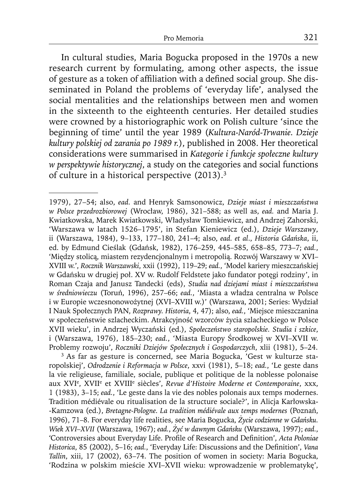In cultural studies, Maria Bogucka proposed in the 1970s a new research current by formulating, among other aspects, the issue of gesture as a token of affiliation with a defined social group. She disseminated in Poland the problems of 'everyday life', analysed the social mentalities and the relationships between men and women in the sixteenth to the eighteenth centuries. Her detailed studies were crowned by a historiographic work on Polish culture 'since the beginning of time' until the year 1989 (*Kultura-Naród-Trwanie. Dzieje kultury polskiej od zarania po 1989 r.*), published in 2008. Her theoretical considerations were summarised in *Kategorie i funkcje społeczne kultury w perspektywie historycznej*, a study on the categories and social functions of culture in a historical perspective (2013).3

<sup>1979), 27–54;</sup> also, *ead.* and Henryk Samsonowicz, *Dzieje miast i mieszczaństwa w Polsce przedrozbiorowej* (Wrocław, 1986), 321–588; as well as, *ead.* and Maria J. Kwiatkowska, Marek Kwiatkowski, Władysław Tomkiewicz, and Andrzej Zahorski, 'Warszawa w latach 1526–1795', in Stefan Kieniewicz (ed.), *Dzieje Warszawy*, ii (Warszawa, 1984), 9–133, 177–180, 241–4; also, *ead. et al*., *Historia Gdańska*, ii, ed. by Edmund Cieślak (Gdańsk, 1982), 176–259, 445–585, 658–85, 773–7; *ead.*, 'Między stolicą, miastem rezydencjonalnym i metropolią. Rozwój Warszawy w XVI– XVIII w.', *Rocznik Warszawski*, xxii (1992), 119–29; *ead.*, 'Model kariery mieszczańskiej w Gdańsku w drugiej poł. XV w. Rudolf Feldstete jako fundator potęgi rodziny', in Roman Czaja and Janusz Tandecki (eds), *Studia nad dziejami miast i mieszczaństwa w średniowieczu* (Toruń, 1996), 257–66; *ead.*, 'Miasta a władza centralna w Polsce i w Europie wczesnonowożytnej (XVI–XVIII w.)' (Warszawa, 2001; Series: Wydział I Nauk Społecznych PAN, *Rozprawy. Historia*, 4, 47); also, *ead.*, 'Miejsce mieszczanina w społeczeństwie szlacheckim. Atrakcyjność wzorców życia szlacheckiego w Polsce XVII wieku', in Andrzej Wyczański (ed.), *Społeczeństwo staropolskie. Studia i szkice*, i (Warszawa, 1976), 185–230; *ead.*, 'Miasta Europy Środkowej w XVI–XVII w. Problemy rozwoju', *Roczniki Dziejów Społecznych i Gospodarczych*, xlii (1981), 5–24.

<sup>3</sup> As far as gesture is concerned, see Maria Bogucka, 'Gest w kulturze staropolskiej', *Odrodzenie i Reformacja w Polsce*, xxvi (1981), 5–18; *ead.*, 'Le geste dans la vie religieuse, familiale, sociale, publique et politique de la noblesse polonaise aux XVI<sup>e</sup>, XVII<sup>e</sup> et XVIII<sup>e</sup> siècles', Revue d'Histoire Moderne et Contemporaine, xxx, 1 (1983), 3–15; *ead.*, 'Le geste dans la vie des nobles polonais aux temps modernes. Tradition médiévale ou ritualisation de la structure sociale?', in Alicja Karłowska- -Kamzowa (ed.), *Bretagne-Pologne. La tradition médiévale aux temps modernes* (Poznań, 1996), 71–8. For everyday life realities, see Maria Bogucka, *Życie codzienne w Gdańsku. Wiek XVI–XVII* (Warszawa, 1967); *ead.*, *Żyć w dawnym Gdańsku* (Warszawa, 1997); *ead.*, 'Controversies about Everyday Life. Profile of Research and Definition', Acta Poloniae Historica, 85 (2002), 5-16; ead., 'Everyday Life: Discussions and the Definition', *Vana Tallin*, xiii, 17 (2002), 63–74. The position of women in society: Maria Bogucka, 'Rodzina w polskim mieście XVI–XVII wieku: wprowadzenie w problematykę',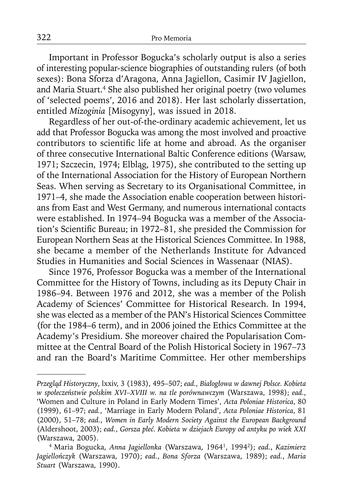Important in Professor Bogucka's scholarly output is also a series of interesting popular-science biographies of outstanding rulers (of both sexes): Bona Sforza d'Aragona, Anna Jagiellon, Casimir IV Jagiellon, and Maria Stuart.<sup>4</sup> She also published her original poetry (two volumes of 'selected poems', 2016 and 2018). Her last scholarly dissertation, entitled *Mizoginia* [Misogyny], was issued in 2018.

Regardless of her out-of-the-ordinary academic achievement, let us add that Professor Bogucka was among the most involved and proactive contributors to scientific life at home and abroad. As the organiser of three consecutive International Baltic Conference editions (Warsaw, 1971; Szczecin, 1974; Elbląg, 1975), she contributed to the setting up of the International Association for the History of European Northern Seas. When serving as Secretary to its Organisational Committee, in 1971–4, she made the Association enable cooperation between historians from East and West Germany, and numerous international contacts were established. In 1974–94 Bogucka was a member of the Association's Scientific Bureau; in 1972–81, she presided the Commission for European Northern Seas at the Historical Sciences Committee. In 1988, she became a member of the Netherlands Institute for Advanced Studies in Humanities and Social Sciences in Wassenaar (NIAS).

Since 1976, Professor Bogucka was a member of the International Committee for the History of Towns, including as its Deputy Chair in 1986–94. Between 1976 and 2012, she was a member of the Polish Academy of Sciences' Committee for Historical Research. In 1994, she was elected as a member of the PAN's Historical Sciences Committee (for the 1984–6 term), and in 2006 joined the Ethics Committee at the Academy's Presidium. She moreover chaired the Popularisation Committee at the Central Board of the Polish Historical Society in 1967–73 and ran the Board's Maritime Committee. Her other memberships

*Przegląd Historyczny*, lxxiv, 3 (1983), 495–507; *ead.*, *Białogłowa w dawnej Polsce. Kobieta w społeczeństwie polskim XVI–XVIII w. na tle porównawczym* (Warszawa, 1998); *ead.*, 'Women and Culture in Poland in Early Modern Times', *Acta Poloniae Historica*, 80 (1999), 61–97; *ead.*, 'Marriage in Early Modern Poland', *Acta Poloniae Historica*, 81 (2000), 51–78; *ead.*, *Women in Early Modern Society Against the European Background*  (Aldershoot, 2003); *ead.*, *Gorsza płeć. Kobieta w dziejach Europy od antyku po wiek XXI*  (Warszawa, 2005).

<sup>4</sup> Maria Bogucka, *Anna Jagiellonka* (Warszawa, 19641, 19942); *ead.*, *Kazimierz Jagiellończyk* (Warszawa, 1970); *ead.*, *Bona Sforza* (Warszawa, 1989); *ead.*, *Maria Stuart* (Warszawa, 1990).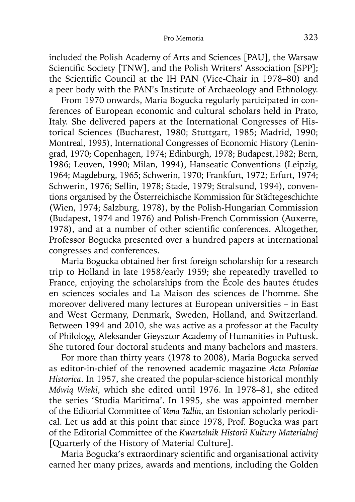included the Polish Academy of Arts and Sciences [PAU], the Warsaw Scientific Society [TNW], and the Polish Writers' Association [SPP]; the Scientific Council at the IH PAN (Vice-Chair in 1978–80) and a peer body with the PAN's Institute of Archaeology and Ethnology.

From 1970 onwards, Maria Bogucka regularly participated in conferences of European economic and cultural scholars held in Prato, Italy. She delivered papers at the International Congresses of Historical Sciences (Bucharest, 1980; Stuttgart, 1985; Madrid, 1990; Montreal, 1995), International Congresses of Economic History (Leningrad, 1970; Copenhagen, 1974; Edinburgh, 1978; Budapest,1982; Bern, 1986; Leuven, 1990; Milan, 1994), Hanseatic Conventions (Leipzig, 1964; Magdeburg, 1965; Schwerin, 1970; Frankfurt, 1972; Erfurt, 1974; Schwerin, 1976; Sellin, 1978; Stade, 1979; Stralsund, 1994), conventions organised by the Österreichische Kommission für Städtegeschichte (Wien, 1974; Salzburg, 1978), by the Polish-Hungarian Commission (Budapest, 1974 and 1976) and Polish-French Commission (Auxerre, 1978), and at a number of other scientific conferences. Altogether, Professor Bogucka presented over a hundred papers at international congresses and conferences.

Maria Bogucka obtained her first foreign scholarship for a research trip to Holland in late 1958/early 1959; she repeatedly travelled to France, enjoying the scholarships from the École des hautes études en sciences sociales and La Maison des sciences de l'homme. She moreover delivered many lectures at European universities – in East and West Germany, Denmark, Sweden, Holland, and Switzerland. Between 1994 and 2010, she was active as a professor at the Faculty of Philology, Aleksander Gieysztor Academy of Humanities in Pułtusk. She tutored four doctoral students and many bachelors and masters.

For more than thirty years (1978 to 2008), Maria Bogucka served as editor-in-chief of the renowned academic magazine *Acta Poloniae Historica*. In 1957, she created the popular-science historical monthly *Mówią Wieki*, which she edited until 1976. In 1978–81, she edited the series 'Studia Maritima'. In 1995, she was appointed member of the Editorial Committee of *Vana Tallin*, an Estonian scholarly periodical. Let us add at this point that since 1978, Prof. Bogucka was part of the Editorial Committee of the *Kwartalnik Historii Kultury Materialnej*  [Quarterly of the History of Material Culture].

Maria Bogucka's extraordinary scientific and organisational activity earned her many prizes, awards and mentions, including the Golden